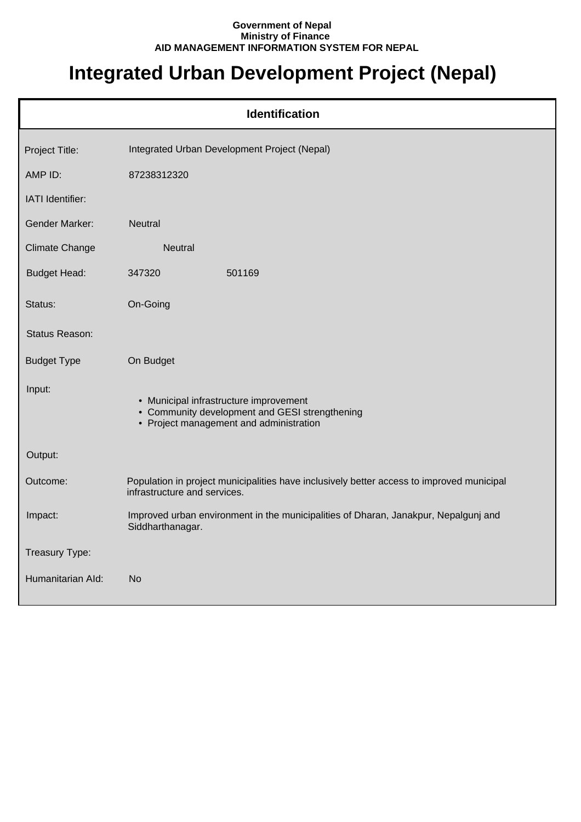## **Government of Nepal Ministry of Finance AID MANAGEMENT INFORMATION SYSTEM FOR NEPAL**

## **Integrated Urban Development Project (Nepal)**

| <b>Identification</b> |                                                                                                                                     |  |
|-----------------------|-------------------------------------------------------------------------------------------------------------------------------------|--|
| Project Title:        | Integrated Urban Development Project (Nepal)                                                                                        |  |
| AMP ID:               | 87238312320                                                                                                                         |  |
| IATI Identifier:      |                                                                                                                                     |  |
| <b>Gender Marker:</b> | <b>Neutral</b>                                                                                                                      |  |
| Climate Change        | Neutral                                                                                                                             |  |
| <b>Budget Head:</b>   | 501169<br>347320                                                                                                                    |  |
| Status:               | On-Going                                                                                                                            |  |
| Status Reason:        |                                                                                                                                     |  |
| <b>Budget Type</b>    | On Budget                                                                                                                           |  |
| Input:                | • Municipal infrastructure improvement<br>• Community development and GESI strengthening<br>• Project management and administration |  |
| Output:               |                                                                                                                                     |  |
| Outcome:              | Population in project municipalities have inclusively better access to improved municipal<br>infrastructure and services.           |  |
| Impact:               | Improved urban environment in the municipalities of Dharan, Janakpur, Nepalgunj and<br>Siddharthanagar.                             |  |
| Treasury Type:        |                                                                                                                                     |  |
| Humanitarian Ald:     | <b>No</b>                                                                                                                           |  |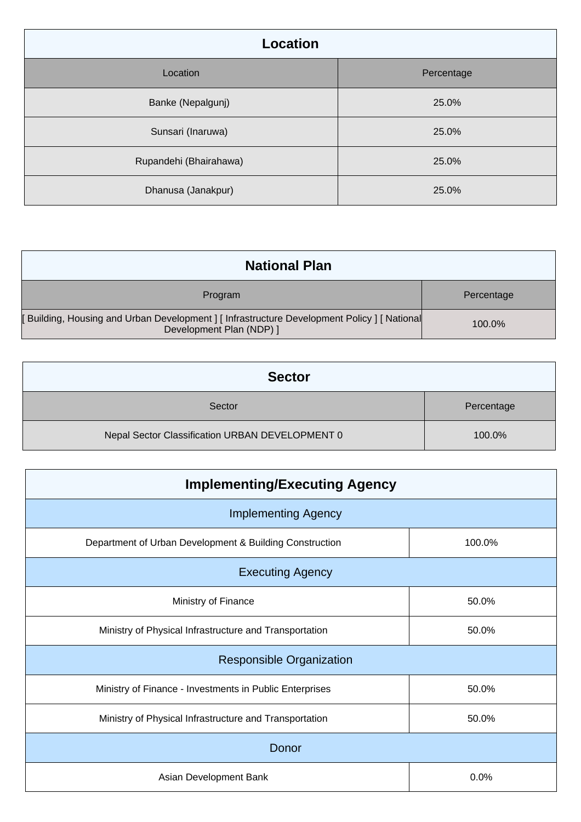| <b>Location</b>        |            |
|------------------------|------------|
| Location               | Percentage |
| Banke (Nepalgunj)      | 25.0%      |
| Sunsari (Inaruwa)      | 25.0%      |
| Rupandehi (Bhairahawa) | 25.0%      |
| Dhanusa (Janakpur)     | 25.0%      |

| <b>National Plan</b>                                                                                                |            |
|---------------------------------------------------------------------------------------------------------------------|------------|
| Program                                                                                                             | Percentage |
| [Building, Housing and Urban Development] [Infrastructure Development Policy] [National<br>Development Plan (NDP) ] | 100.0%     |

| <b>Sector</b>                                   |            |
|-------------------------------------------------|------------|
| Sector                                          | Percentage |
| Nepal Sector Classification URBAN DEVELOPMENT 0 | 100.0%     |

| <b>Implementing/Executing Agency</b>                    |        |  |
|---------------------------------------------------------|--------|--|
| <b>Implementing Agency</b>                              |        |  |
| Department of Urban Development & Building Construction | 100.0% |  |
| <b>Executing Agency</b>                                 |        |  |
| Ministry of Finance                                     | 50.0%  |  |
| Ministry of Physical Infrastructure and Transportation  | 50.0%  |  |
| <b>Responsible Organization</b>                         |        |  |
| Ministry of Finance - Investments in Public Enterprises | 50.0%  |  |
| Ministry of Physical Infrastructure and Transportation  | 50.0%  |  |
| Donor                                                   |        |  |
| Asian Development Bank                                  | 0.0%   |  |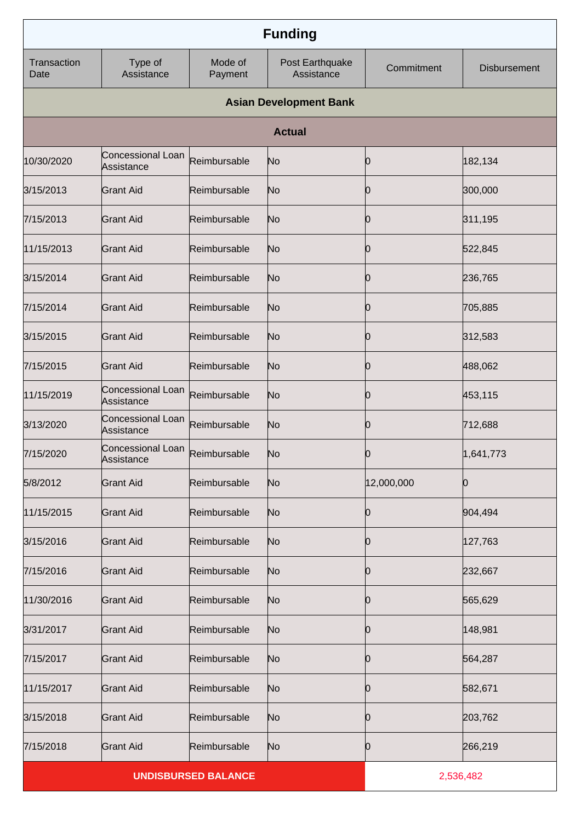|                     |                                              |                            | <b>Funding</b>                |            |                     |
|---------------------|----------------------------------------------|----------------------------|-------------------------------|------------|---------------------|
| Transaction<br>Date | Type of<br>Assistance                        | Mode of<br>Payment         | Post Earthquake<br>Assistance | Commitment | <b>Disbursement</b> |
|                     |                                              |                            | <b>Asian Development Bank</b> |            |                     |
|                     |                                              |                            | <b>Actual</b>                 |            |                     |
| 10/30/2020          | Concessional Loan<br>Assistance              | Reimbursable               | No                            | 0          | 182,134             |
| 3/15/2013           | <b>Grant Aid</b>                             | Reimbursable               | No                            | 0          | 300,000             |
| 7/15/2013           | <b>Grant Aid</b>                             | Reimbursable               | No                            | 0          | 311,195             |
| 11/15/2013          | <b>Grant Aid</b>                             | Reimbursable               | No                            | 0          | 522,845             |
| 3/15/2014           | <b>Grant Aid</b>                             | Reimbursable               | No                            | 0          | 236,765             |
| 7/15/2014           | <b>Grant Aid</b>                             | Reimbursable               | No                            | 0          | 705,885             |
| 3/15/2015           | <b>Grant Aid</b>                             | Reimbursable               | No                            | 0          | 312,583             |
| 7/15/2015           | <b>Grant Aid</b>                             | Reimbursable               | No                            | 0          | 488,062             |
| 11/15/2019          | Concessional Loan<br>Assistance              | Reimbursable               | No                            | 0          | 453,115             |
| 3/13/2020           | Concessional Loan<br>Assistance              | Reimbursable               | N <sub>o</sub>                | Ю          | 712,688             |
| 7/15/2020           | Concessional Loan Reimbursable<br>Assistance |                            | No                            | 0          | 1,641,773           |
| 5/8/2012            | <b>Grant Aid</b>                             | Reimbursable               | No                            | 12,000,000 | 10                  |
| 11/15/2015          | <b>Grant Aid</b>                             | Reimbursable               | N <sub>o</sub>                | 0          | 904,494             |
| 3/15/2016           | <b>Grant Aid</b>                             | Reimbursable               | No                            | 10         | 127,763             |
| 7/15/2016           | <b>Grant Aid</b>                             | Reimbursable               | N <sub>o</sub>                | 10         | 232,667             |
| 11/30/2016          | <b>Grant Aid</b>                             | Reimbursable               | No                            | 10         | 565,629             |
| 3/31/2017           | <b>Grant Aid</b>                             | Reimbursable               | N <sub>o</sub>                | 10         | 148,981             |
| 7/15/2017           | <b>Grant Aid</b>                             | Reimbursable               | No                            | 10         | 564,287             |
| 11/15/2017          | <b>Grant Aid</b>                             | Reimbursable               | N <sub>o</sub>                | 10         | 582,671             |
| 3/15/2018           | <b>Grant Aid</b>                             | Reimbursable               | No                            | 0          | 203,762             |
| 7/15/2018           | <b>Grant Aid</b>                             | Reimbursable               | N <sub>o</sub>                | 0          | 266,219             |
|                     |                                              | <b>UNDISBURSED BALANCE</b> |                               | 2,536,482  |                     |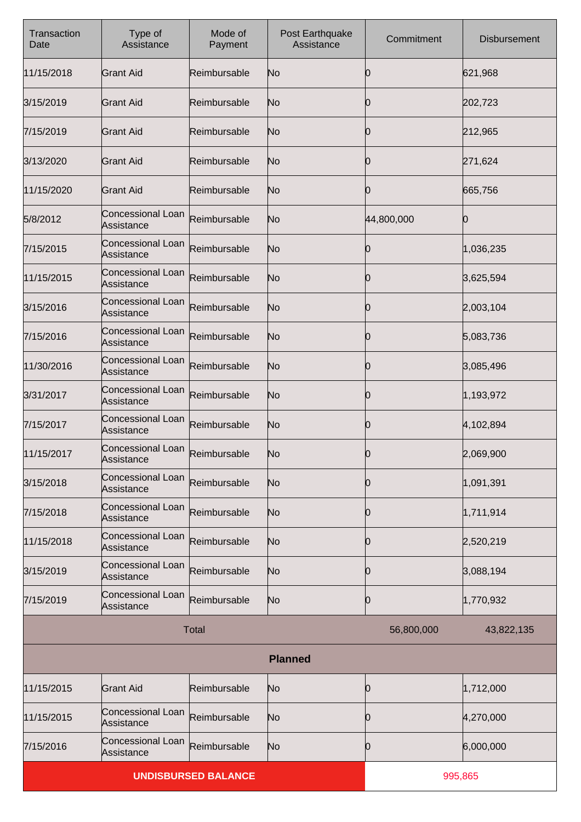| Transaction<br>Date | Type of<br>Assistance                  | Mode of<br>Payment         | Post Earthquake<br>Assistance | Commitment | <b>Disbursement</b> |
|---------------------|----------------------------------------|----------------------------|-------------------------------|------------|---------------------|
| 11/15/2018          | <b>Grant Aid</b>                       | Reimbursable               | No                            | 0          | 621,968             |
| 3/15/2019           | <b>Grant Aid</b>                       | Reimbursable               | No                            | Ю          | 202,723             |
| 7/15/2019           | <b>Grant Aid</b>                       | Reimbursable               | No                            | Ŋ          | 212,965             |
| 3/13/2020           | <b>Grant Aid</b>                       | Reimbursable               | No                            | Ю          | 271,624             |
| 11/15/2020          | <b>Grant Aid</b>                       | Reimbursable               | No                            | Ŋ          | 665,756             |
| 5/8/2012            | Concessional Loan<br>Assistance        | Reimbursable               | No                            | 44,800,000 | 0                   |
| 7/15/2015           | Concessional Loan<br>Assistance        | Reimbursable               | No                            | O          | 1,036,235           |
| 11/15/2015          | Concessional Loan<br><b>Assistance</b> | Reimbursable               | No                            | Ю          | 3,625,594           |
| 3/15/2016           | Concessional Loan<br><b>Assistance</b> | Reimbursable               | No                            | 0          | 2,003,104           |
| 7/15/2016           | Concessional Loan<br><b>Assistance</b> | Reimbursable               | No                            | Ю          | 5,083,736           |
| 11/30/2016          | Concessional Loan<br>Assistance        | Reimbursable               | No                            | O          | 3,085,496           |
| 3/31/2017           | Concessional Loan<br>Assistance        | Reimbursable               | No                            | Ю          | 1,193,972           |
| 7/15/2017           | Concessional Loan<br>Assistance        | Reimbursable               | No                            | 0          | 4,102,894           |
| 11/15/2017          | Concessional Loan<br>Assistance        | Reimbursable               | No                            | 0          | 2,069,900           |
| 3/15/2018           | Concessional Loan<br>Assistance        | Reimbursable               | N <sub>o</sub>                | Ю          | 1,091,391           |
| 7/15/2018           | Concessional Loan<br>Assistance        | Reimbursable               | No                            | 0          | 1,711,914           |
| 11/15/2018          | Concessional Loan<br>Assistance        | Reimbursable               | N <sub>o</sub>                | Ю          | 2,520,219           |
| 3/15/2019           | Concessional Loan<br>Assistance        | Reimbursable               | No                            | 0          | 3,088,194           |
| 7/15/2019           | Concessional Loan<br>Assistance        | Reimbursable               | N <sub>o</sub>                | Ю          | 1,770,932           |
|                     |                                        | <b>Total</b>               |                               | 56,800,000 | 43,822,135          |
|                     |                                        |                            | <b>Planned</b>                |            |                     |
| 11/15/2015          | <b>Grant Aid</b>                       | Reimbursable               | No                            | Ю          | 1,712,000           |
| 11/15/2015          | Concessional Loan<br>Assistance        | Reimbursable               | N <sub>o</sub>                | Ю          | 4,270,000           |
| 7/15/2016           | Concessional Loan<br>Assistance        | Reimbursable               | N <sub>o</sub>                | 0          | 6,000,000           |
|                     |                                        | <b>UNDISBURSED BALANCE</b> |                               |            | 995,865             |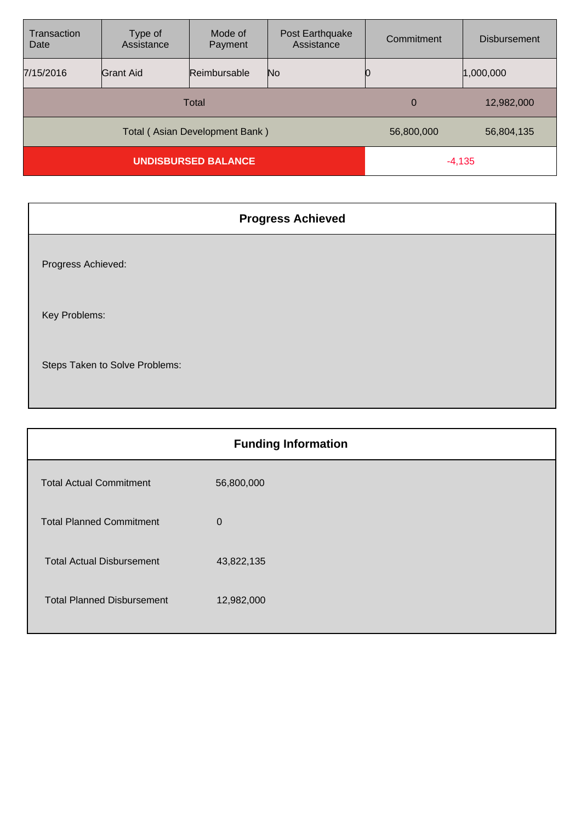| Transaction<br>Date            | Type of<br>Assistance | Mode of<br>Payment | Post Earthquake<br>Assistance | Commitment | <b>Disbursement</b> |
|--------------------------------|-----------------------|--------------------|-------------------------------|------------|---------------------|
| 7/15/2016                      | <b>Grant Aid</b>      | Reimbursable       | No.                           |            | 1,000,000           |
| Total                          |                       |                    | $\overline{0}$                | 12,982,000 |                     |
| Total (Asian Development Bank) |                       |                    | 56,800,000                    | 56,804,135 |                     |
| <b>UNDISBURSED BALANCE</b>     |                       |                    | $-4,135$                      |            |                     |

|                                | <b>Progress Achieved</b> |
|--------------------------------|--------------------------|
| Progress Achieved:             |                          |
| Key Problems:                  |                          |
| Steps Taken to Solve Problems: |                          |

|                                   | <b>Funding Information</b> |
|-----------------------------------|----------------------------|
| <b>Total Actual Commitment</b>    | 56,800,000                 |
| <b>Total Planned Commitment</b>   | $\overline{0}$             |
| <b>Total Actual Disbursement</b>  | 43,822,135                 |
| <b>Total Planned Disbursement</b> | 12,982,000                 |
|                                   |                            |